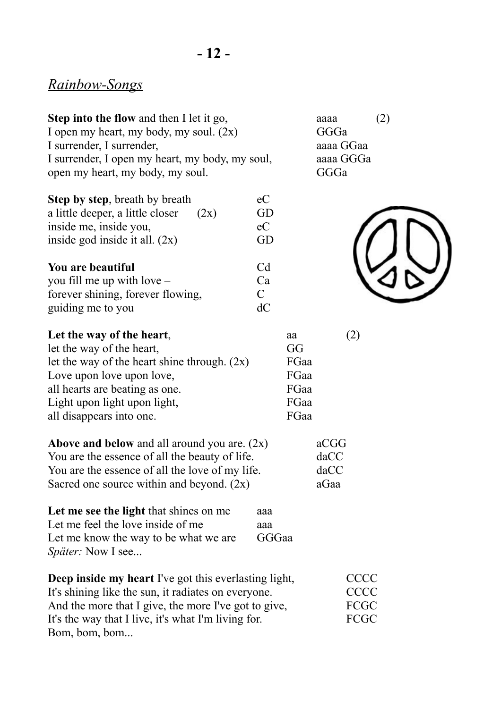# *Rainbow-Songs*

| <b>Step into the flow and then I let it go,</b><br>I open my heart, my body, my soul. $(2x)$<br>I surrender, I surrender,<br>I surrender, I open my heart, my body, my soul,<br>open my heart, my body, my soul.                                    |                                                  | aaaa<br>GGGa<br>aaaa GGaa<br>aaaa GGGa<br>GGGa | (2) |
|-----------------------------------------------------------------------------------------------------------------------------------------------------------------------------------------------------------------------------------------------------|--------------------------------------------------|------------------------------------------------|-----|
| <b>Step by step, breath by breath</b><br>a little deeper, a little closer<br>(2x)<br>inside me, inside you,<br>inside god inside it all. $(2x)$                                                                                                     | eC<br>GD<br>eC<br>GD                             |                                                |     |
| You are beautiful<br>you fill me up with love $-$<br>forever shining, forever flowing,<br>guiding me to you                                                                                                                                         | C <sub>d</sub><br>Ca<br>$\mathsf{C}$<br>dC       |                                                |     |
| Let the way of the heart,<br>let the way of the heart,<br>let the way of the heart shine through. $(2x)$<br>Love upon love upon love,<br>all hearts are beating as one.<br>Light upon light upon light,<br>all disappears into one.                 | aa<br>GG<br>FGaa<br>FGaa<br>FGaa<br>FGaa<br>FGaa | (2)                                            |     |
| Above and below and all around you are. $(2x)$<br>You are the essence of all the beauty of life.<br>You are the essence of all the love of my life.<br>Sacred one source within and beyond. $(2x)$                                                  |                                                  | aCGG<br>daCC<br>daCC<br>aGaa                   |     |
| Let me see the light that shines on me<br>Let me feel the love inside of me<br>Let me know the way to be what we are<br><i>Später:</i> Now I see                                                                                                    | aaa<br>aaa<br>GGGaa                              |                                                |     |
| <b>Deep inside my heart</b> I've got this everlasting light,<br>It's shining like the sun, it radiates on everyone.<br>And the more that I give, the more I've got to give,<br>It's the way that I live, it's what I'm living for.<br>Bom, bom, bom |                                                  | <b>CCCC</b><br><b>CCCC</b><br>FCGC<br>FCGC     |     |

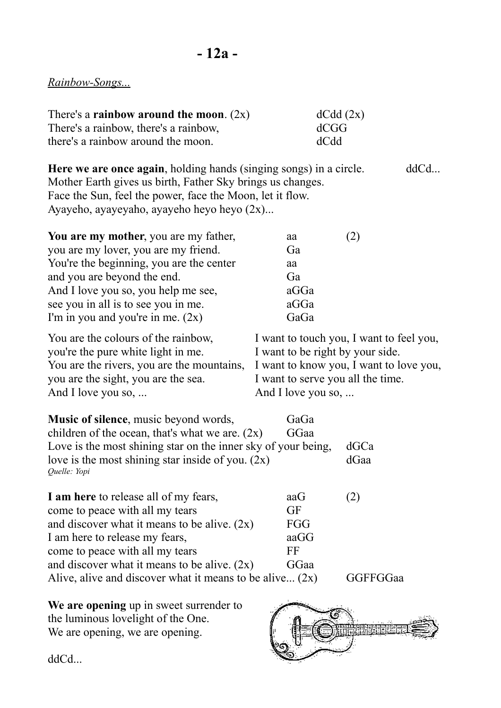### *Rainbow-Songs...*

| There's a rainbow around the moon. $(2x)$ | dCdd(2x) |
|-------------------------------------------|----------|
| There's a rainbow, there's a rainbow,     | dCGG     |
| there's a rainbow around the moon.        | dCdd     |

**Here we are once again**, holding hands (singing songs) in a circle. ddCd... Mother Earth gives us birth, Father Sky brings us changes. Face the Sun, feel the power, face the Moon, let it flow. Ayayeho, ayayeyaho, ayayeho heyo heyo  $(2x)$ ...

| You are my mother, you are my father,    | aa                        |  |
|------------------------------------------|---------------------------|--|
| you are my lover, you are my friend.     | Ga                        |  |
| You're the beginning, you are the center | aa                        |  |
| and you are beyond the end.              | Ga                        |  |
| And I love you so, you help me see,      | aGGa                      |  |
| see you in all is to see you in me.      | aGGa                      |  |
| I'm in you and you're in me. $(2x)$      | GaGa                      |  |
| Vou are the colours of the rainhow       | I want to touch you I wan |  |

| You are the colours of the rainbow,                                                | I want to touch you, I want to feel you, |
|------------------------------------------------------------------------------------|------------------------------------------|
| you're the pure white light in me.                                                 | I want to be right by your side.         |
| You are the rivers, you are the mountains, I want to know you, I want to love you, |                                          |
| you are the sight, you are the sea.                                                | I want to serve you all the time.        |
| And I love you so,                                                                 | And I love you so,                       |

| Music of silence, music beyond words,                         | GaGa |      |
|---------------------------------------------------------------|------|------|
| children of the ocean, that's what we are. $(2x)$             | GGaa |      |
| Love is the most shining star on the inner sky of your being, |      | dGCa |
| love is the most shining star inside of you. $(2x)$           |      | dGaa |
| <i>Ouelle: Yopi</i>                                           |      |      |

| I am here to release all of my fears,                      | aaG       |          |
|------------------------------------------------------------|-----------|----------|
| come to peace with all my tears                            | <b>GF</b> |          |
| and discover what it means to be alive. $(2x)$             | FGG       |          |
| I am here to release my fears,                             | aaGG      |          |
| come to peace with all my tears                            | FF        |          |
| and discover what it means to be alive. $(2x)$             | GGaa      |          |
| Alive, alive and discover what it means to be alive $(2x)$ |           | GGFFGGaa |

**We are opening** up in sweet surrender to the luminous lovelight of the One. We are opening, we are opening.



ddCd...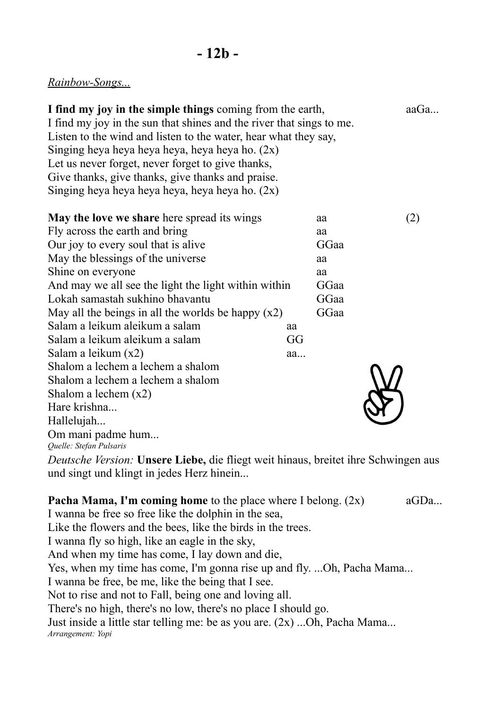## **- 12b -**

### *Rainbow-Songs...*

**I find my joy in the simple things** coming from the earth, aaGa... I find my joy in the sun that shines and the river that sings to me. Listen to the wind and listen to the water, hear what they say, Singing heya heya heya, heya heya ho.  $(2x)$ Let us never forget, never forget to give thanks, Give thanks, give thanks, give thanks and praise. Singing heya heya heya heya, heya heya ho. (2x)

| <b>May the love we share</b> here spread its wings   |         | aa   | (2) |
|------------------------------------------------------|---------|------|-----|
| Fly across the earth and bring                       |         | aa   |     |
| Our joy to every soul that is alive                  |         | GGaa |     |
| May the blessings of the universe                    |         | aa   |     |
| Shine on everyone                                    |         | aa   |     |
| And may we all see the light the light within within |         | GGaa |     |
| Lokah samastah sukhino bhavantu                      |         | GGaa |     |
| May all the beings in all the worlds be happy $(x2)$ |         | GGaa |     |
| Salam a leikum aleikum a salam                       | aa      |      |     |
| Salam a leikum aleikum a salam                       | GG      |      |     |
| Salam a leikum (x2)                                  | $a$ $a$ |      |     |
| Shalom a lechem a lechem a shalom                    |         |      |     |
| Shalom a lechem a lechem a shalom                    |         |      |     |
| Shalom a lechem $(x2)$                               |         |      |     |
| Hare krishna                                         |         |      |     |
| Hallelujah                                           |         |      |     |
| Om mani padme hum                                    |         |      |     |
| Quelle: Stefan Pulsaris                              |         |      |     |

*Deutsche Version:* **Unsere Liebe,** die fliegt weit hinaus, breitet ihre Schwingen aus und singt und klingt in jedes Herz hinein...

**Pacha Mama, I'm coming home** to the place where I belong. (2x) aGDa... I wanna be free so free like the dolphin in the sea, Like the flowers and the bees, like the birds in the trees. I wanna fly so high, like an eagle in the sky, And when my time has come, I lay down and die, Yes, when my time has come, I'm gonna rise up and fly. ...Oh, Pacha Mama... I wanna be free, be me, like the being that I see. Not to rise and not to Fall, being one and loving all. There's no high, there's no low, there's no place I should go. Just inside a little star telling me: be as you are.  $(2x)$  ...Oh, Pacha Mama... *Arrangement: Yopi*